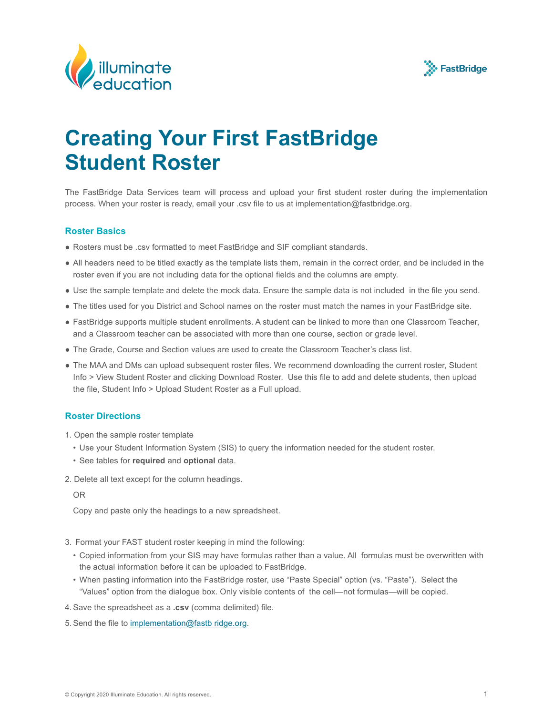



# **Creating Your First FastBridge Student Roster**

The FastBridge Data Services team will process and upload your first student roster during the implementation process. When your roster is ready, email your .csv file to us at implementation@fastbridge.org.

### **Roster Basics**

- Rosters must be .csv formatted to meet FastBridge and SIF compliant standards.
- All headers need to be titled exactly as the template lists them, remain in the correct order, and be included in the roster even if you are not including data for the optional fields and the columns are empty.
- Use the sample template and delete the mock data. Ensure the sample data is not included in the file you send.
- The titles used for you District and School names on the roster must match the names in your FastBridge site.
- FastBridge supports multiple student enrollments. A student can be linked to more than one Classroom Teacher, and a Classroom teacher can be associated with more than one course, section or grade level.
- The Grade, Course and Section values are used to create the Classroom Teacher's class list.
- The MAA and DMs can upload subsequent roster files. We recommend downloading the current roster, Student Info > View Student Roster and clicking Download Roster. Use this file to add and delete students, then upload the file, Student Info > Upload Student Roster as a Full upload.

## **Roster Directions**

- 1. Open the sample roster template
	- Use your Student Information System (SIS) to query the information needed for the student roster.
	- See tables for **required** and **optional** data.
- 2. Delete all text except for the column headings.

#### OR

Copy and paste only the headings to a new spreadsheet.

- 3. Format your FAST student roster keeping in mind the following:
	- Copied information from your SIS may have formulas rather than a value. All formulas must be overwritten with the actual information before it can be uploaded to FastBridge.
	- When pasting information into the FastBridge roster, use "Paste Special" option (vs. "Paste"). Select the "Values" option from the dialogue box. Only visible contents of the cell—not formulas—will be copied.
- 4.Save the spreadsheet as a **.csv** (comma delimited) file.
- 5. Send the file to [implementation@fastb ridge.org](mailto:implementation%40fastbridge.org?subject=).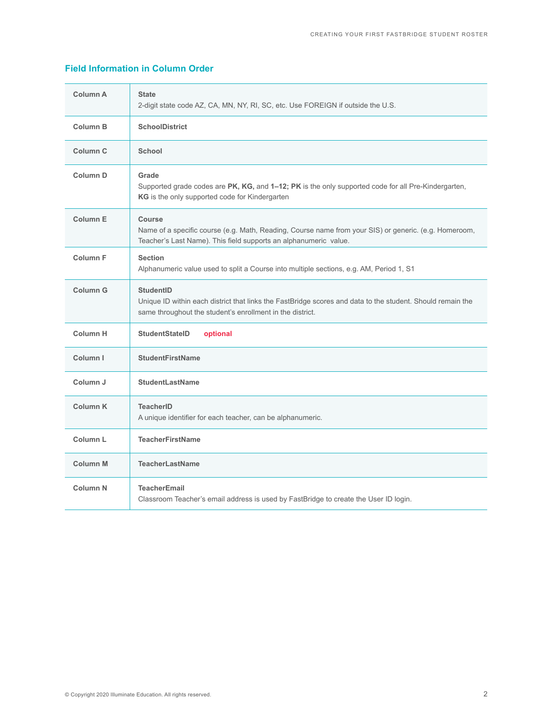| Column A            | <b>State</b><br>2-digit state code AZ, CA, MN, NY, RI, SC, etc. Use FOREIGN if outside the U.S.                                                                                             |  |
|---------------------|---------------------------------------------------------------------------------------------------------------------------------------------------------------------------------------------|--|
| Column <sub>B</sub> | <b>SchoolDistrict</b>                                                                                                                                                                       |  |
| Column <sub>C</sub> | School                                                                                                                                                                                      |  |
| Column <sub>D</sub> | Grade<br>Supported grade codes are PK, KG, and 1-12; PK is the only supported code for all Pre-Kindergarten,<br>KG is the only supported code for Kindergarten                              |  |
| Column <sub>E</sub> | Course<br>Name of a specific course (e.g. Math, Reading, Course name from your SIS) or generic. (e.g. Homeroom,<br>Teacher's Last Name). This field supports an alphanumeric value.         |  |
| Column <sub>F</sub> | <b>Section</b><br>Alphanumeric value used to split a Course into multiple sections, e.g. AM, Period 1, S1                                                                                   |  |
| Column G            | <b>StudentID</b><br>Unique ID within each district that links the FastBridge scores and data to the student. Should remain the<br>same throughout the student's enrollment in the district. |  |
| Column <sub>H</sub> | <b>StudentStateID</b><br>optional                                                                                                                                                           |  |
| Column I            | <b>StudentFirstName</b>                                                                                                                                                                     |  |
| Column J            | <b>StudentLastName</b>                                                                                                                                                                      |  |
| Column K            | <b>TeacherID</b><br>A unique identifier for each teacher, can be alphanumeric.                                                                                                              |  |
| Column <sub>L</sub> | <b>TeacherFirstName</b>                                                                                                                                                                     |  |
| Column <sub>M</sub> | <b>TeacherLastName</b>                                                                                                                                                                      |  |
| <b>Column N</b>     | <b>TeacherEmail</b><br>Classroom Teacher's email address is used by FastBridge to create the User ID login.                                                                                 |  |

# **Field Information in Column Order**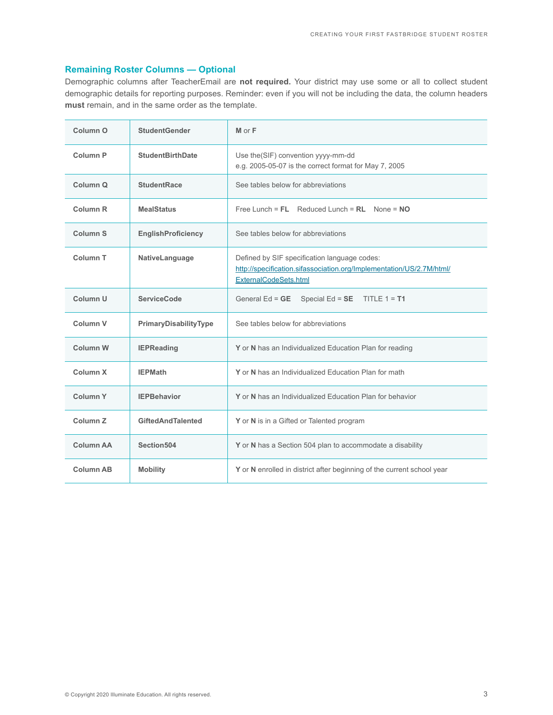## **Remaining Roster Columns — Optional**

Demographic columns after TeacherEmail are **not required.** Your district may use some or all to collect student demographic details for reporting purposes. Reminder: even if you will not be including the data, the column headers **must** remain, and in the same order as the template.

| Column <sub>O</sub> | <b>StudentGender</b>      | M or F                                                                                                                                        |  |
|---------------------|---------------------------|-----------------------------------------------------------------------------------------------------------------------------------------------|--|
| Column <sub>P</sub> | <b>StudentBirthDate</b>   | Use the (SIF) convention yyyy-mm-dd<br>e.g. 2005-05-07 is the correct format for May 7, 2005                                                  |  |
| Column <sub>Q</sub> | <b>StudentRace</b>        | See tables below for abbreviations                                                                                                            |  |
| Column <sub>R</sub> | <b>MealStatus</b>         | Free Lunch = $FL$ Reduced Lunch = $RL$ None = $NO$                                                                                            |  |
| Column <sub>S</sub> | <b>EnglishProficiency</b> | See tables below for abbreviations                                                                                                            |  |
| Column <sub>T</sub> | NativeLanguage            | Defined by SIF specification language codes:<br>http://specification.sifassociation.org/Implementation/US/2.7M/html/<br>ExternalCodeSets.html |  |
| Column <sub>U</sub> | <b>ServiceCode</b>        | General $Ed = GE$<br>Special Ed = $SE$ TITLE 1 = T1                                                                                           |  |
| Column <sub>V</sub> | PrimaryDisabilityType     | See tables below for abbreviations                                                                                                            |  |
| Column W            | <b>IEPReading</b>         | Y or N has an Individualized Education Plan for reading                                                                                       |  |
| Column X            | <b>IEPMath</b>            | Y or N has an Individualized Education Plan for math                                                                                          |  |
| Column <sub>Y</sub> | <b>IEPBehavior</b>        | Y or N has an Individualized Education Plan for behavior                                                                                      |  |
| Column <sub>Z</sub> | <b>GiftedAndTalented</b>  | Y or N is in a Gifted or Talented program                                                                                                     |  |
| <b>Column AA</b>    | Section504                | Y or N has a Section 504 plan to accommodate a disability                                                                                     |  |
| Column AB           | <b>Mobility</b>           | Y or N enrolled in district after beginning of the current school year                                                                        |  |